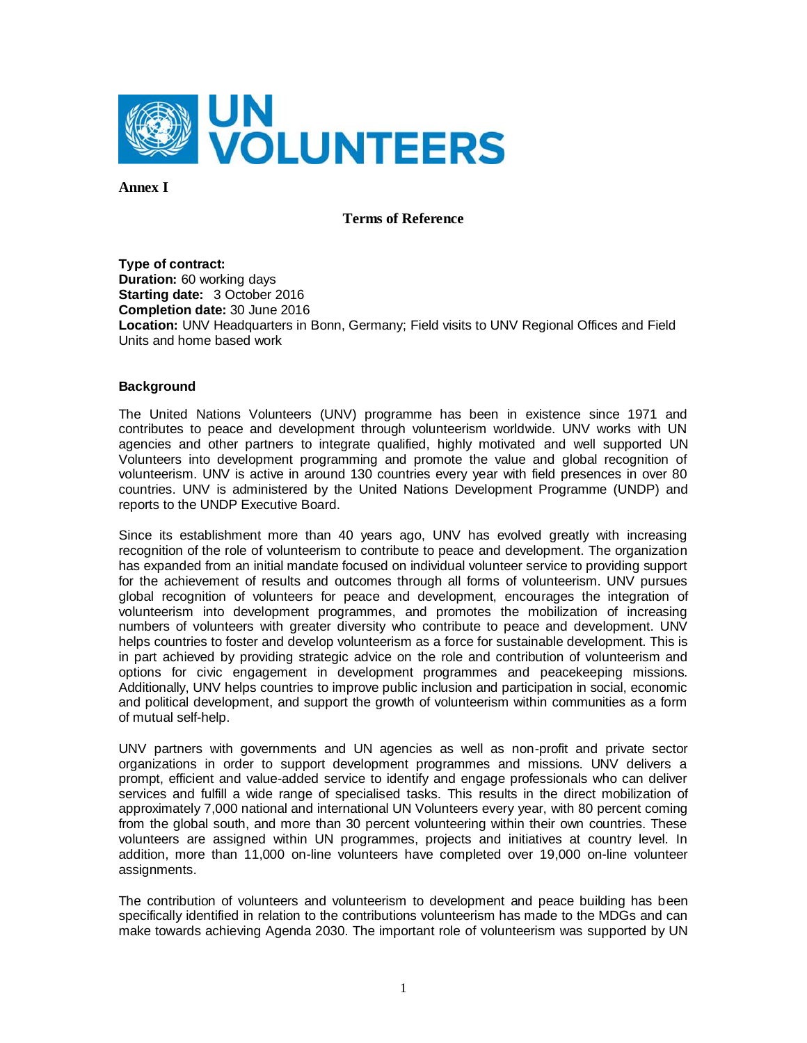

**Annex I**

#### **Terms of Reference**

**Type of contract: Duration:** 60 working days **Starting date:** 3 October 2016 **Completion date:** 30 June 2016 **Location:** UNV Headquarters in Bonn, Germany; Field visits to UNV Regional Offices and Field Units and home based work

#### **Background**

The United Nations Volunteers (UNV) programme has been in existence since 1971 and contributes to peace and development through volunteerism worldwide. UNV works with UN agencies and other partners to integrate qualified, highly motivated and well supported UN Volunteers into development programming and promote the value and global recognition of volunteerism. UNV is active in around 130 countries every year with field presences in over 80 countries. UNV is administered by the United Nations Development Programme (UNDP) and reports to the UNDP Executive Board.

Since its establishment more than 40 years ago, UNV has evolved greatly with increasing recognition of the role of volunteerism to contribute to peace and development. The organization has expanded from an initial mandate focused on individual volunteer service to providing support for the achievement of results and outcomes through all forms of volunteerism. UNV pursues global recognition of volunteers for peace and development, encourages the integration of volunteerism into development programmes, and promotes the mobilization of increasing numbers of volunteers with greater diversity who contribute to peace and development. UNV helps countries to foster and develop volunteerism as a force for sustainable development. This is in part achieved by providing strategic advice on the role and contribution of volunteerism and options for civic engagement in development programmes and peacekeeping missions. Additionally, UNV helps countries to improve public inclusion and participation in social, economic and political development, and support the growth of volunteerism within communities as a form of mutual self-help.

UNV partners with governments and UN agencies as well as non-profit and private sector organizations in order to support development programmes and missions. UNV delivers a prompt, efficient and value-added service to identify and engage professionals who can deliver services and fulfill a wide range of specialised tasks. This results in the direct mobilization of approximately 7,000 national and international UN Volunteers every year, with 80 percent coming from the global south, and more than 30 percent volunteering within their own countries. These volunteers are assigned within UN programmes, projects and initiatives at country level. In addition, more than 11,000 on-line volunteers have completed over 19,000 on-line volunteer assignments.

The contribution of volunteers and volunteerism to development and peace building has been specifically identified in relation to the contributions volunteerism has made to the MDGs and can make towards achieving Agenda 2030. The important role of volunteerism was supported by UN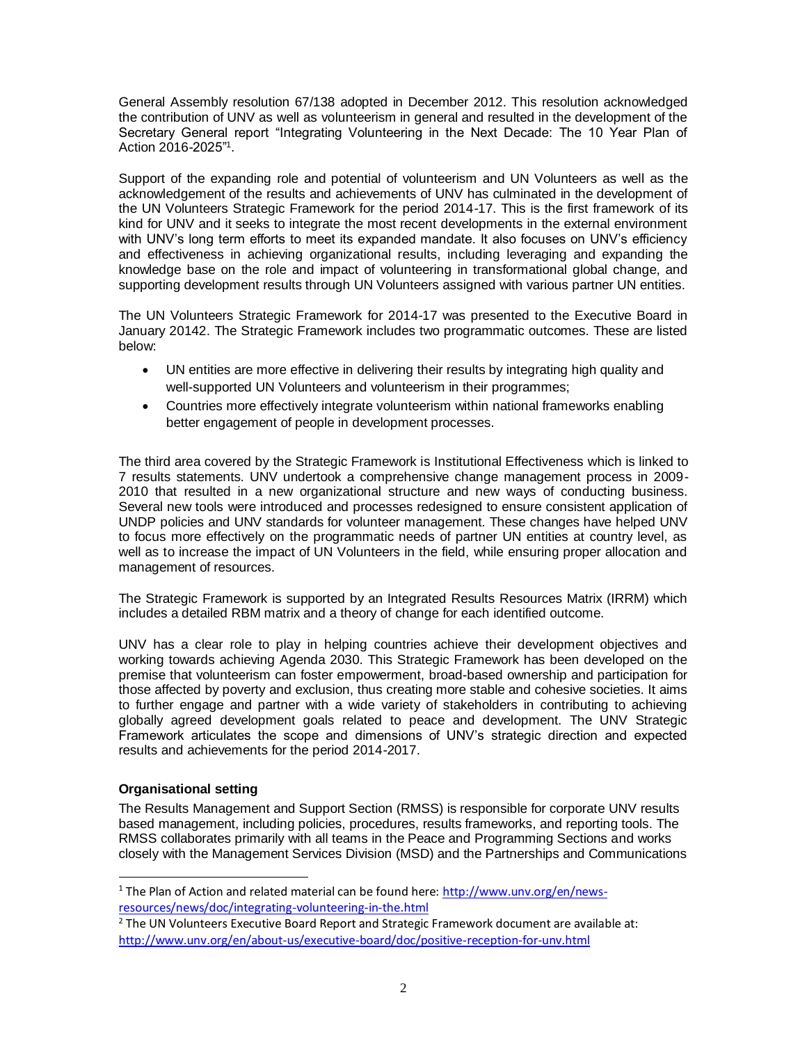General Assembly resolution 67/138 adopted in December 2012. This resolution acknowledged the contribution of UNV as well as volunteerism in general and resulted in the development of the Secretary General report "Integrating Volunteering in the Next Decade: The 10 Year Plan of Action 2016-2025"<sup>1</sup> .

Support of the expanding role and potential of volunteerism and UN Volunteers as well as the acknowledgement of the results and achievements of UNV has culminated in the development of the UN Volunteers Strategic Framework for the period 2014-17. This is the first framework of its kind for UNV and it seeks to integrate the most recent developments in the external environment with UNV's long term efforts to meet its expanded mandate. It also focuses on UNV's efficiency and effectiveness in achieving organizational results, including leveraging and expanding the knowledge base on the role and impact of volunteering in transformational global change, and supporting development results through UN Volunteers assigned with various partner UN entities.

The UN Volunteers Strategic Framework for 2014-17 was presented to the Executive Board in January 20142. The Strategic Framework includes two programmatic outcomes. These are listed below:

- UN entities are more effective in delivering their results by integrating high quality and well-supported UN Volunteers and volunteerism in their programmes;
- Countries more effectively integrate volunteerism within national frameworks enabling better engagement of people in development processes.

The third area covered by the Strategic Framework is Institutional Effectiveness which is linked to 7 results statements. UNV undertook a comprehensive change management process in 2009- 2010 that resulted in a new organizational structure and new ways of conducting business. Several new tools were introduced and processes redesigned to ensure consistent application of UNDP policies and UNV standards for volunteer management. These changes have helped UNV to focus more effectively on the programmatic needs of partner UN entities at country level, as well as to increase the impact of UN Volunteers in the field, while ensuring proper allocation and management of resources.

The Strategic Framework is supported by an Integrated Results Resources Matrix (IRRM) which includes a detailed RBM matrix and a theory of change for each identified outcome.

UNV has a clear role to play in helping countries achieve their development objectives and working towards achieving Agenda 2030. This Strategic Framework has been developed on the premise that volunteerism can foster empowerment, broad-based ownership and participation for those affected by poverty and exclusion, thus creating more stable and cohesive societies. It aims to further engage and partner with a wide variety of stakeholders in contributing to achieving globally agreed development goals related to peace and development. The UNV Strategic Framework articulates the scope and dimensions of UNV's strategic direction and expected results and achievements for the period 2014-2017.

# **Organisational setting**

The Results Management and Support Section (RMSS) is responsible for corporate UNV results based management, including policies, procedures, results frameworks, and reporting tools. The RMSS collaborates primarily with all teams in the Peace and Programming Sections and works closely with the Management Services Division (MSD) and the Partnerships and Communications

<sup>&</sup>lt;sup>1</sup> The Plan of Action and related material can be found here: [http://www.unv.org/en/news](http://www.unv.org/en/news-resources/news/doc/integrating-volunteering-in-the.html)[resources/news/doc/integrating-volunteering-in-the.html](http://www.unv.org/en/news-resources/news/doc/integrating-volunteering-in-the.html)

 $<sup>2</sup>$  The UN Volunteers Executive Board Report and Strategic Framework document are available at:</sup> <http://www.unv.org/en/about-us/executive-board/doc/positive-reception-for-unv.html>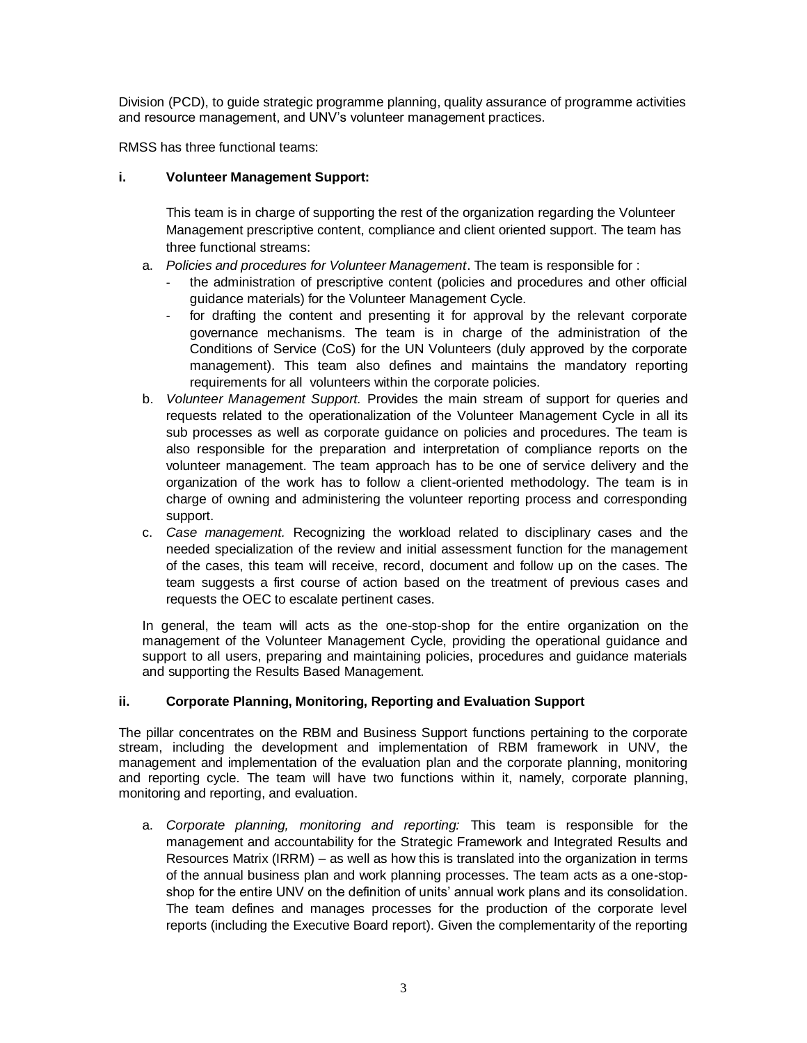Division (PCD), to guide strategic programme planning, quality assurance of programme activities and resource management, and UNV's volunteer management practices.

RMSS has three functional teams:

## **i. Volunteer Management Support:**

This team is in charge of supporting the rest of the organization regarding the Volunteer Management prescriptive content, compliance and client oriented support. The team has three functional streams:

- a. *Policies and procedures for Volunteer Management*. The team is responsible for :
	- the administration of prescriptive content (policies and procedures and other official guidance materials) for the Volunteer Management Cycle.
	- for drafting the content and presenting it for approval by the relevant corporate governance mechanisms. The team is in charge of the administration of the Conditions of Service (CoS) for the UN Volunteers (duly approved by the corporate management). This team also defines and maintains the mandatory reporting requirements for all volunteers within the corporate policies.
- b. *Volunteer Management Support.* Provides the main stream of support for queries and requests related to the operationalization of the Volunteer Management Cycle in all its sub processes as well as corporate guidance on policies and procedures. The team is also responsible for the preparation and interpretation of compliance reports on the volunteer management. The team approach has to be one of service delivery and the organization of the work has to follow a client-oriented methodology. The team is in charge of owning and administering the volunteer reporting process and corresponding support.
- c. *Case management.* Recognizing the workload related to disciplinary cases and the needed specialization of the review and initial assessment function for the management of the cases, this team will receive, record, document and follow up on the cases. The team suggests a first course of action based on the treatment of previous cases and requests the OEC to escalate pertinent cases.

In general, the team will acts as the one-stop-shop for the entire organization on the management of the Volunteer Management Cycle, providing the operational guidance and support to all users, preparing and maintaining policies, procedures and guidance materials and supporting the Results Based Management.

# **ii. Corporate Planning, Monitoring, Reporting and Evaluation Support**

The pillar concentrates on the RBM and Business Support functions pertaining to the corporate stream, including the development and implementation of RBM framework in UNV, the management and implementation of the evaluation plan and the corporate planning, monitoring and reporting cycle. The team will have two functions within it, namely, corporate planning, monitoring and reporting, and evaluation.

a. *Corporate planning, monitoring and reporting:* This team is responsible for the management and accountability for the Strategic Framework and Integrated Results and Resources Matrix (IRRM) – as well as how this is translated into the organization in terms of the annual business plan and work planning processes. The team acts as a one-stopshop for the entire UNV on the definition of units' annual work plans and its consolidation. The team defines and manages processes for the production of the corporate level reports (including the Executive Board report). Given the complementarity of the reporting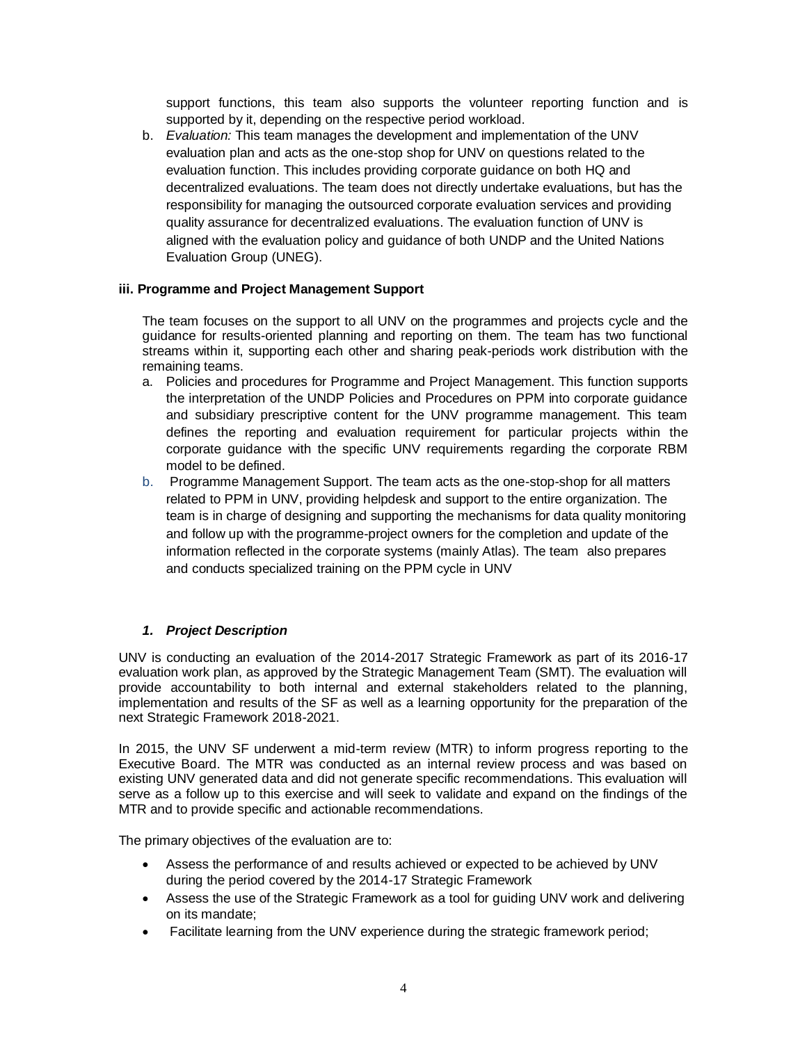support functions, this team also supports the volunteer reporting function and is supported by it, depending on the respective period workload.

b. *Evaluation:* This team manages the development and implementation of the UNV evaluation plan and acts as the one-stop shop for UNV on questions related to the evaluation function. This includes providing corporate guidance on both HQ and decentralized evaluations. The team does not directly undertake evaluations, but has the responsibility for managing the outsourced corporate evaluation services and providing quality assurance for decentralized evaluations. The evaluation function of UNV is aligned with the evaluation policy and guidance of both UNDP and the United Nations Evaluation Group (UNEG).

### **iii. Programme and Project Management Support**

The team focuses on the support to all UNV on the programmes and projects cycle and the guidance for results-oriented planning and reporting on them. The team has two functional streams within it, supporting each other and sharing peak-periods work distribution with the remaining teams.

- a. Policies and procedures for Programme and Project Management. This function supports the interpretation of the UNDP Policies and Procedures on PPM into corporate guidance and subsidiary prescriptive content for the UNV programme management. This team defines the reporting and evaluation requirement for particular projects within the corporate guidance with the specific UNV requirements regarding the corporate RBM model to be defined.
- b. Programme Management Support. The team acts as the one-stop-shop for all matters related to PPM in UNV, providing helpdesk and support to the entire organization. The team is in charge of designing and supporting the mechanisms for data quality monitoring and follow up with the programme-project owners for the completion and update of the information reflected in the corporate systems (mainly Atlas). The team also prepares and conducts specialized training on the PPM cycle in UNV

# *1. Project Description*

UNV is conducting an evaluation of the 2014-2017 Strategic Framework as part of its 2016-17 evaluation work plan, as approved by the Strategic Management Team (SMT). The evaluation will provide accountability to both internal and external stakeholders related to the planning, implementation and results of the SF as well as a learning opportunity for the preparation of the next Strategic Framework 2018-2021.

In 2015, the UNV SF underwent a mid-term review (MTR) to inform progress reporting to the Executive Board. The MTR was conducted as an internal review process and was based on existing UNV generated data and did not generate specific recommendations. This evaluation will serve as a follow up to this exercise and will seek to validate and expand on the findings of the MTR and to provide specific and actionable recommendations.

The primary objectives of the evaluation are to:

- Assess the performance of and results achieved or expected to be achieved by UNV during the period covered by the 2014-17 Strategic Framework
- Assess the use of the Strategic Framework as a tool for guiding UNV work and delivering on its mandate;
- Facilitate learning from the UNV experience during the strategic framework period;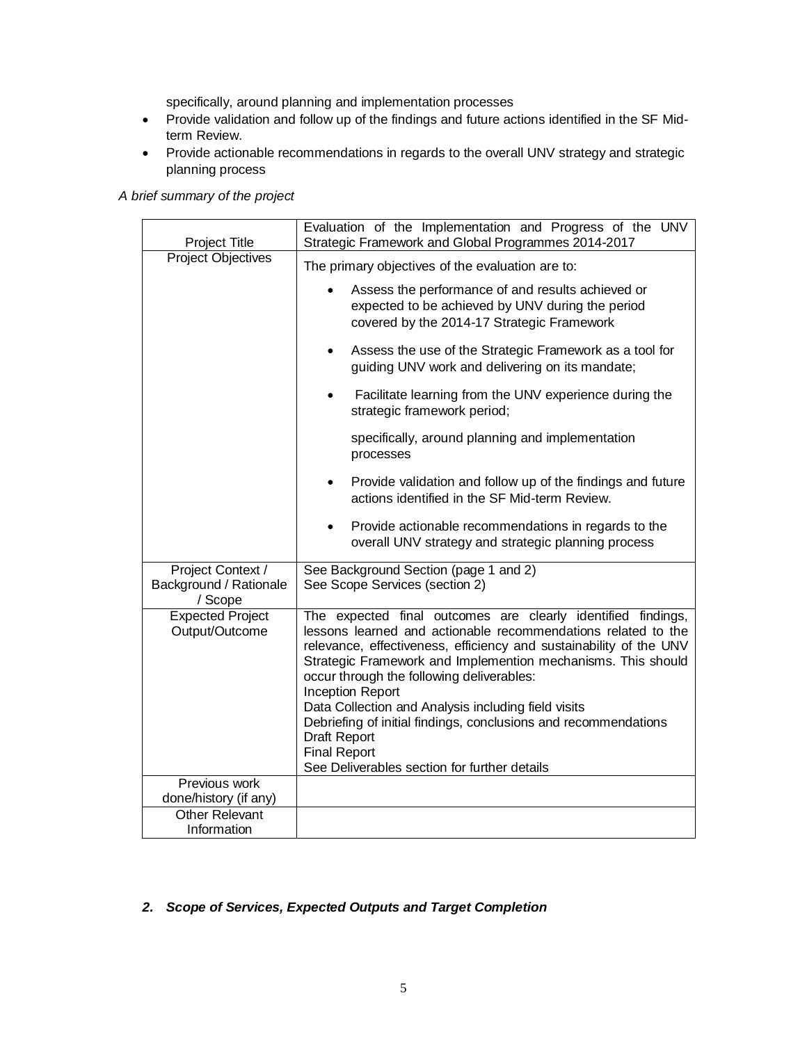specifically, around planning and implementation processes

- Provide validation and follow up of the findings and future actions identified in the SF Midterm Review.
- Provide actionable recommendations in regards to the overall UNV strategy and strategic planning process

# *A brief summary of the project*

| Project Title                                          | Evaluation of the Implementation and Progress of the UNV<br>Strategic Framework and Global Programmes 2014-2017                                                                                                                                                                                                                                                                                                                                                                                                                                              |  |  |
|--------------------------------------------------------|--------------------------------------------------------------------------------------------------------------------------------------------------------------------------------------------------------------------------------------------------------------------------------------------------------------------------------------------------------------------------------------------------------------------------------------------------------------------------------------------------------------------------------------------------------------|--|--|
| <b>Project Objectives</b>                              | The primary objectives of the evaluation are to:                                                                                                                                                                                                                                                                                                                                                                                                                                                                                                             |  |  |
|                                                        | Assess the performance of and results achieved or<br>expected to be achieved by UNV during the period<br>covered by the 2014-17 Strategic Framework                                                                                                                                                                                                                                                                                                                                                                                                          |  |  |
|                                                        | Assess the use of the Strategic Framework as a tool for<br>guiding UNV work and delivering on its mandate;                                                                                                                                                                                                                                                                                                                                                                                                                                                   |  |  |
|                                                        | Facilitate learning from the UNV experience during the<br>strategic framework period;                                                                                                                                                                                                                                                                                                                                                                                                                                                                        |  |  |
|                                                        | specifically, around planning and implementation<br>processes                                                                                                                                                                                                                                                                                                                                                                                                                                                                                                |  |  |
|                                                        | Provide validation and follow up of the findings and future<br>actions identified in the SF Mid-term Review.                                                                                                                                                                                                                                                                                                                                                                                                                                                 |  |  |
|                                                        | Provide actionable recommendations in regards to the<br>overall UNV strategy and strategic planning process                                                                                                                                                                                                                                                                                                                                                                                                                                                  |  |  |
| Project Context /<br>Background / Rationale<br>/ Scope | See Background Section (page 1 and 2)<br>See Scope Services (section 2)                                                                                                                                                                                                                                                                                                                                                                                                                                                                                      |  |  |
| <b>Expected Project</b><br>Output/Outcome              | The expected final outcomes are clearly identified findings,<br>lessons learned and actionable recommendations related to the<br>relevance, effectiveness, efficiency and sustainability of the UNV<br>Strategic Framework and Implemention mechanisms. This should<br>occur through the following deliverables:<br><b>Inception Report</b><br>Data Collection and Analysis including field visits<br>Debriefing of initial findings, conclusions and recommendations<br>Draft Report<br><b>Final Report</b><br>See Deliverables section for further details |  |  |
| Previous work                                          |                                                                                                                                                                                                                                                                                                                                                                                                                                                                                                                                                              |  |  |
| done/history (if any)<br><b>Other Relevant</b>         |                                                                                                                                                                                                                                                                                                                                                                                                                                                                                                                                                              |  |  |
| Information                                            |                                                                                                                                                                                                                                                                                                                                                                                                                                                                                                                                                              |  |  |

# *2. Scope of Services, Expected Outputs and Target Completion*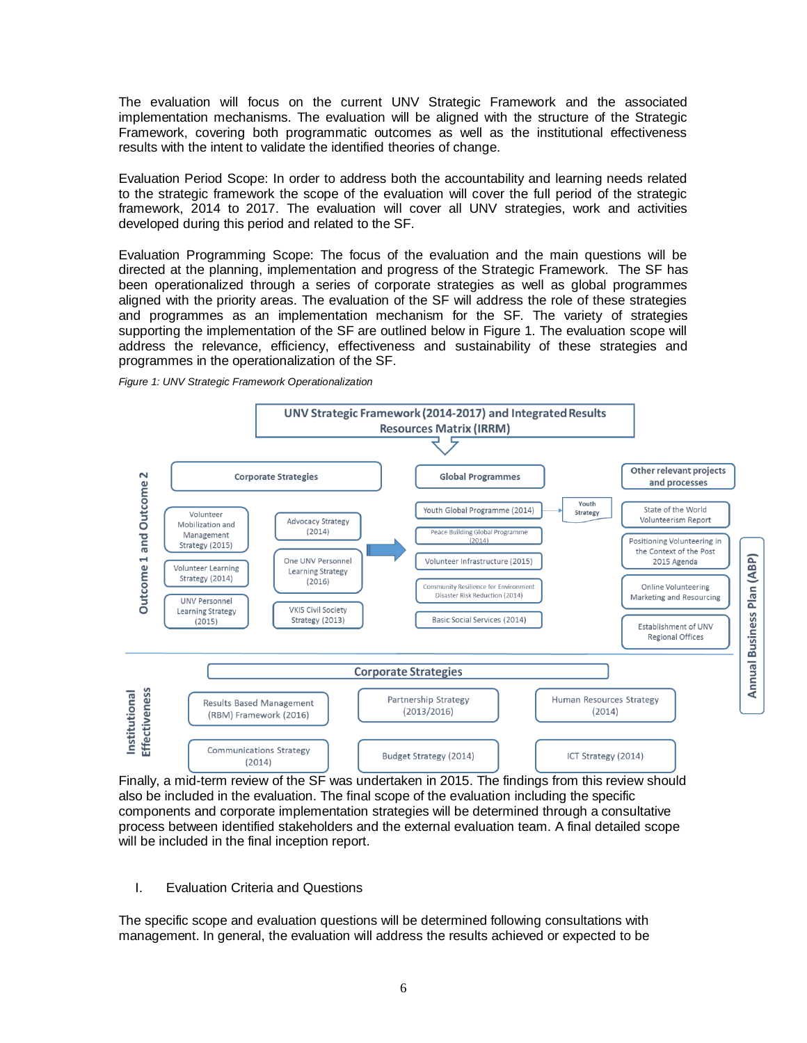The evaluation will focus on the current UNV Strategic Framework and the associated implementation mechanisms. The evaluation will be aligned with the structure of the Strategic Framework, covering both programmatic outcomes as well as the institutional effectiveness results with the intent to validate the identified theories of change.

Evaluation Period Scope: In order to address both the accountability and learning needs related to the strategic framework the scope of the evaluation will cover the full period of the strategic framework, 2014 to 2017. The evaluation will cover all UNV strategies, work and activities developed during this period and related to the SF.

Evaluation Programming Scope: The focus of the evaluation and the main questions will be directed at the planning, implementation and progress of the Strategic Framework. The SF has been operationalized through a series of corporate strategies as well as global programmes aligned with the priority areas. The evaluation of the SF will address the role of these strategies and programmes as an implementation mechanism for the SF. The variety of strategies supporting the implementation of the SF are outlined below in Figure 1. The evaluation scope will address the relevance, efficiency, effectiveness and sustainability of these strategies and programmes in the operationalization of the SF.

*Figure 1: UNV Strategic Framework Operationalization*



Finally, a mid-term review of the SF was undertaken in 2015. The findings from this review should also be included in the evaluation. The final scope of the evaluation including the specific components and corporate implementation strategies will be determined through a consultative process between identified stakeholders and the external evaluation team. A final detailed scope will be included in the final inception report.

I. Evaluation Criteria and Questions

The specific scope and evaluation questions will be determined following consultations with management. In general, the evaluation will address the results achieved or expected to be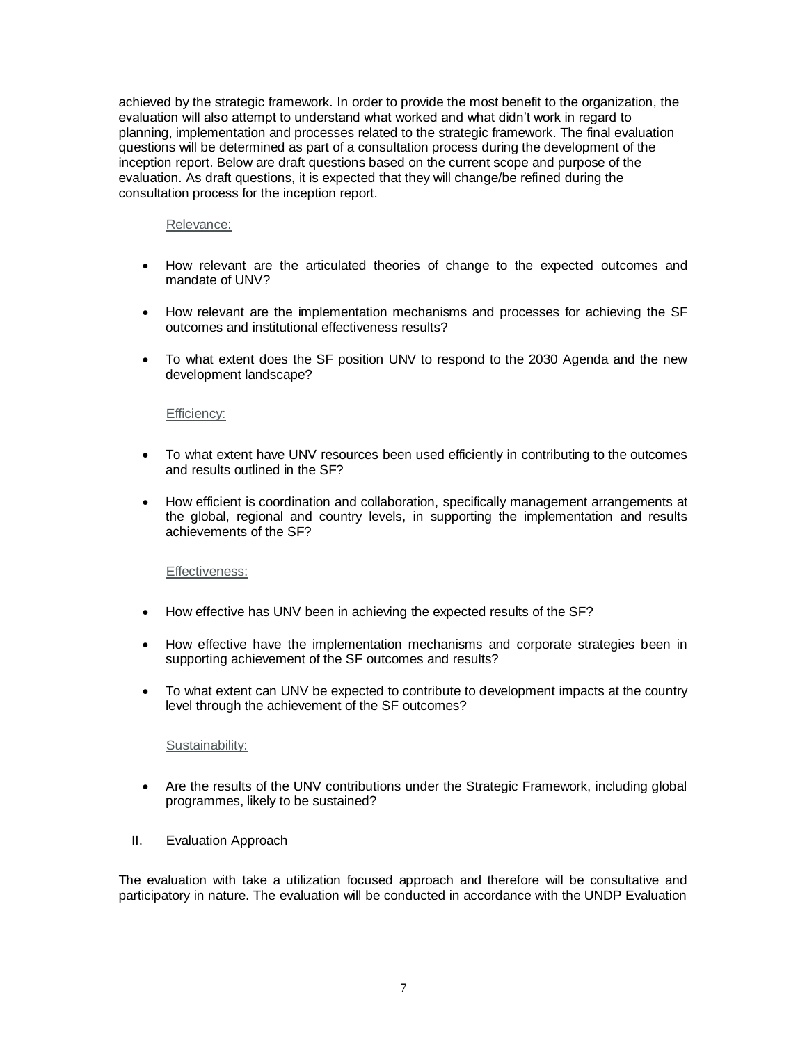achieved by the strategic framework. In order to provide the most benefit to the organization, the evaluation will also attempt to understand what worked and what didn't work in regard to planning, implementation and processes related to the strategic framework. The final evaluation questions will be determined as part of a consultation process during the development of the inception report. Below are draft questions based on the current scope and purpose of the evaluation. As draft questions, it is expected that they will change/be refined during the consultation process for the inception report.

#### Relevance:

- How relevant are the articulated theories of change to the expected outcomes and mandate of UNV?
- How relevant are the implementation mechanisms and processes for achieving the SF outcomes and institutional effectiveness results?
- To what extent does the SF position UNV to respond to the 2030 Agenda and the new development landscape?

#### Efficiency:

- To what extent have UNV resources been used efficiently in contributing to the outcomes and results outlined in the SF?
- How efficient is coordination and collaboration, specifically management arrangements at the global, regional and country levels, in supporting the implementation and results achievements of the SF?

#### Effectiveness:

- How effective has UNV been in achieving the expected results of the SF?
- How effective have the implementation mechanisms and corporate strategies been in supporting achievement of the SF outcomes and results?
- To what extent can UNV be expected to contribute to development impacts at the country level through the achievement of the SF outcomes?

#### Sustainability:

- Are the results of the UNV contributions under the Strategic Framework, including global programmes, likely to be sustained?
- II. Evaluation Approach

The evaluation with take a utilization focused approach and therefore will be consultative and participatory in nature. The evaluation will be conducted in accordance with the UNDP Evaluation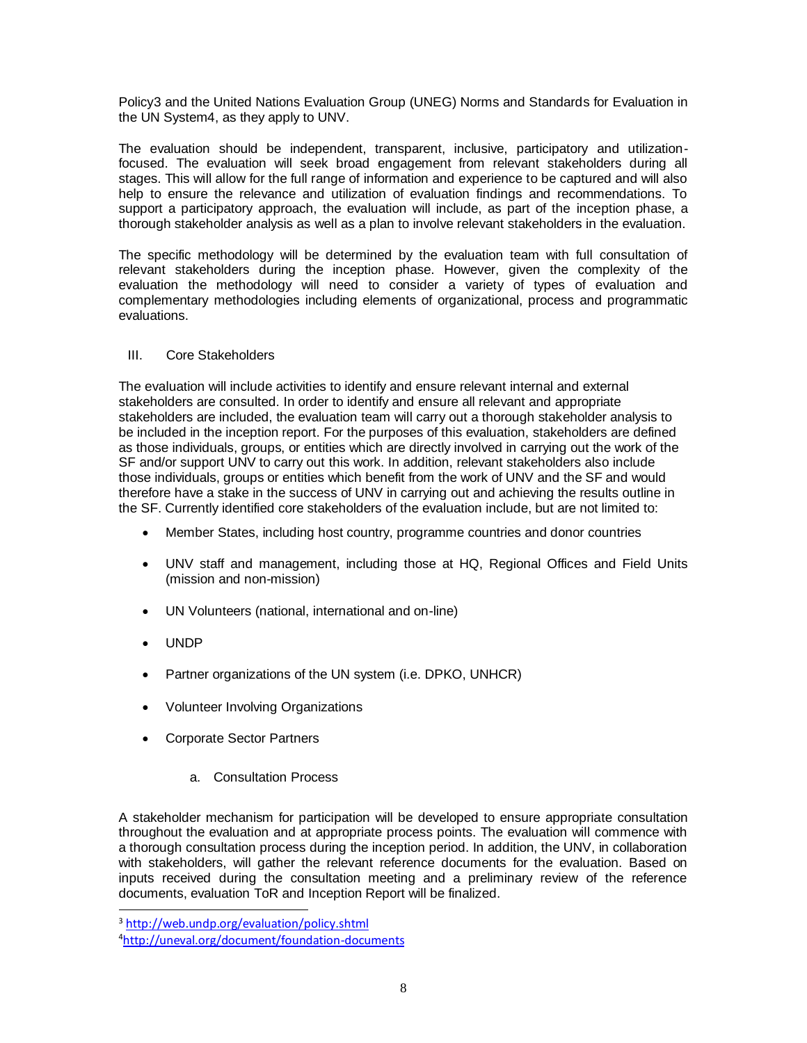Policy3 and the United Nations Evaluation Group (UNEG) Norms and Standards for Evaluation in the UN System4, as they apply to UNV.

The evaluation should be independent, transparent, inclusive, participatory and utilizationfocused. The evaluation will seek broad engagement from relevant stakeholders during all stages. This will allow for the full range of information and experience to be captured and will also help to ensure the relevance and utilization of evaluation findings and recommendations. To support a participatory approach, the evaluation will include, as part of the inception phase, a thorough stakeholder analysis as well as a plan to involve relevant stakeholders in the evaluation.

The specific methodology will be determined by the evaluation team with full consultation of relevant stakeholders during the inception phase. However, given the complexity of the evaluation the methodology will need to consider a variety of types of evaluation and complementary methodologies including elements of organizational, process and programmatic evaluations.

### III. Core Stakeholders

The evaluation will include activities to identify and ensure relevant internal and external stakeholders are consulted. In order to identify and ensure all relevant and appropriate stakeholders are included, the evaluation team will carry out a thorough stakeholder analysis to be included in the inception report. For the purposes of this evaluation, stakeholders are defined as those individuals, groups, or entities which are directly involved in carrying out the work of the SF and/or support UNV to carry out this work. In addition, relevant stakeholders also include those individuals, groups or entities which benefit from the work of UNV and the SF and would therefore have a stake in the success of UNV in carrying out and achieving the results outline in the SF. Currently identified core stakeholders of the evaluation include, but are not limited to:

- Member States, including host country, programme countries and donor countries
- UNV staff and management, including those at HQ, Regional Offices and Field Units (mission and non-mission)
- UN Volunteers (national, international and on-line)
- UNDP

 $\overline{a}$ 

- Partner organizations of the UN system (i.e. DPKO, UNHCR)
- Volunteer Involving Organizations
- Corporate Sector Partners
	- a. Consultation Process

A stakeholder mechanism for participation will be developed to ensure appropriate consultation throughout the evaluation and at appropriate process points. The evaluation will commence with a thorough consultation process during the inception period. In addition, the UNV, in collaboration with stakeholders, will gather the relevant reference documents for the evaluation. Based on inputs received during the consultation meeting and a preliminary review of the reference documents, evaluation ToR and Inception Report will be finalized.

<sup>3</sup> <http://web.undp.org/evaluation/policy.shtml>

<sup>4</sup><http://uneval.org/document/foundation-documents>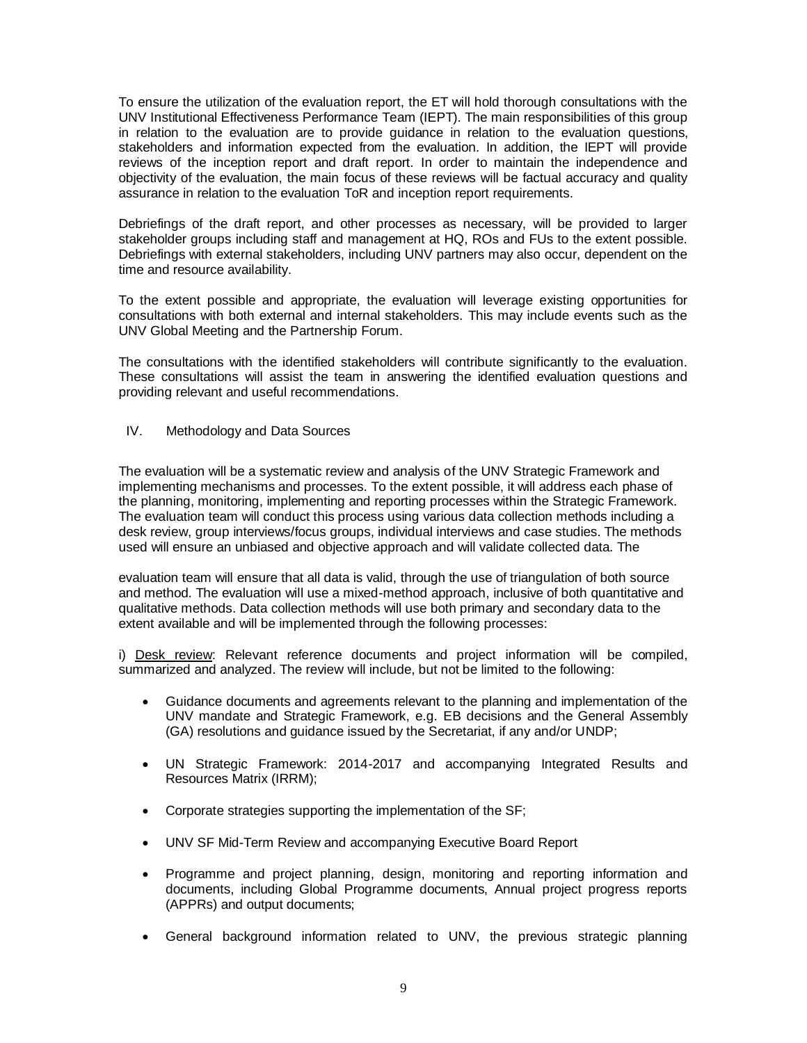To ensure the utilization of the evaluation report, the ET will hold thorough consultations with the UNV Institutional Effectiveness Performance Team (IEPT). The main responsibilities of this group in relation to the evaluation are to provide guidance in relation to the evaluation questions, stakeholders and information expected from the evaluation. In addition, the IEPT will provide reviews of the inception report and draft report. In order to maintain the independence and objectivity of the evaluation, the main focus of these reviews will be factual accuracy and quality assurance in relation to the evaluation ToR and inception report requirements.

Debriefings of the draft report, and other processes as necessary, will be provided to larger stakeholder groups including staff and management at HQ, ROs and FUs to the extent possible. Debriefings with external stakeholders, including UNV partners may also occur, dependent on the time and resource availability.

To the extent possible and appropriate, the evaluation will leverage existing opportunities for consultations with both external and internal stakeholders. This may include events such as the UNV Global Meeting and the Partnership Forum.

The consultations with the identified stakeholders will contribute significantly to the evaluation. These consultations will assist the team in answering the identified evaluation questions and providing relevant and useful recommendations.

IV. Methodology and Data Sources

The evaluation will be a systematic review and analysis of the UNV Strategic Framework and implementing mechanisms and processes. To the extent possible, it will address each phase of the planning, monitoring, implementing and reporting processes within the Strategic Framework. The evaluation team will conduct this process using various data collection methods including a desk review, group interviews/focus groups, individual interviews and case studies. The methods used will ensure an unbiased and objective approach and will validate collected data. The

evaluation team will ensure that all data is valid, through the use of triangulation of both source and method. The evaluation will use a mixed-method approach, inclusive of both quantitative and qualitative methods. Data collection methods will use both primary and secondary data to the extent available and will be implemented through the following processes:

i) Desk review: Relevant reference documents and project information will be compiled, summarized and analyzed. The review will include, but not be limited to the following:

- Guidance documents and agreements relevant to the planning and implementation of the UNV mandate and Strategic Framework, e.g. EB decisions and the General Assembly (GA) resolutions and guidance issued by the Secretariat, if any and/or UNDP;
- UN Strategic Framework: 2014-2017 and accompanying Integrated Results and Resources Matrix (IRRM);
- Corporate strategies supporting the implementation of the SF;
- UNV SF Mid-Term Review and accompanying Executive Board Report
- Programme and project planning, design, monitoring and reporting information and documents, including Global Programme documents, Annual project progress reports (APPRs) and output documents;
- General background information related to UNV, the previous strategic planning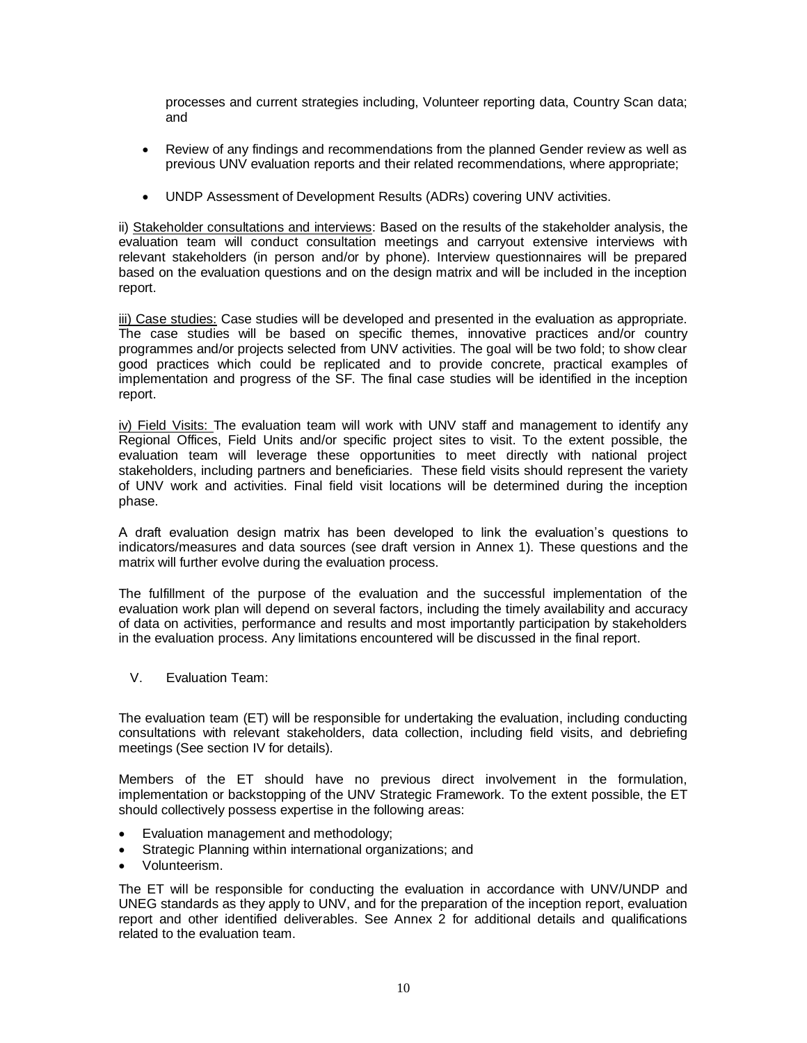processes and current strategies including, Volunteer reporting data, Country Scan data; and

- Review of any findings and recommendations from the planned Gender review as well as previous UNV evaluation reports and their related recommendations, where appropriate;
- UNDP Assessment of Development Results (ADRs) covering UNV activities.

ii) Stakeholder consultations and interviews: Based on the results of the stakeholder analysis, the evaluation team will conduct consultation meetings and carryout extensive interviews with relevant stakeholders (in person and/or by phone). Interview questionnaires will be prepared based on the evaluation questions and on the design matrix and will be included in the inception report.

iii) Case studies: Case studies will be developed and presented in the evaluation as appropriate. The case studies will be based on specific themes, innovative practices and/or country programmes and/or projects selected from UNV activities. The goal will be two fold; to show clear good practices which could be replicated and to provide concrete, practical examples of implementation and progress of the SF. The final case studies will be identified in the inception report.

iv) Field Visits: The evaluation team will work with UNV staff and management to identify any Regional Offices, Field Units and/or specific project sites to visit. To the extent possible, the evaluation team will leverage these opportunities to meet directly with national project stakeholders, including partners and beneficiaries. These field visits should represent the variety of UNV work and activities. Final field visit locations will be determined during the inception phase.

A draft evaluation design matrix has been developed to link the evaluation's questions to indicators/measures and data sources (see draft version in Annex 1). These questions and the matrix will further evolve during the evaluation process.

The fulfillment of the purpose of the evaluation and the successful implementation of the evaluation work plan will depend on several factors, including the timely availability and accuracy of data on activities, performance and results and most importantly participation by stakeholders in the evaluation process. Any limitations encountered will be discussed in the final report.

V. Evaluation Team:

The evaluation team (ET) will be responsible for undertaking the evaluation, including conducting consultations with relevant stakeholders, data collection, including field visits, and debriefing meetings (See section IV for details).

Members of the ET should have no previous direct involvement in the formulation, implementation or backstopping of the UNV Strategic Framework. To the extent possible, the ET should collectively possess expertise in the following areas:

- Evaluation management and methodology;
- Strategic Planning within international organizations; and
- Volunteerism.

The ET will be responsible for conducting the evaluation in accordance with UNV/UNDP and UNEG standards as they apply to UNV, and for the preparation of the inception report, evaluation report and other identified deliverables. See Annex 2 for additional details and qualifications related to the evaluation team.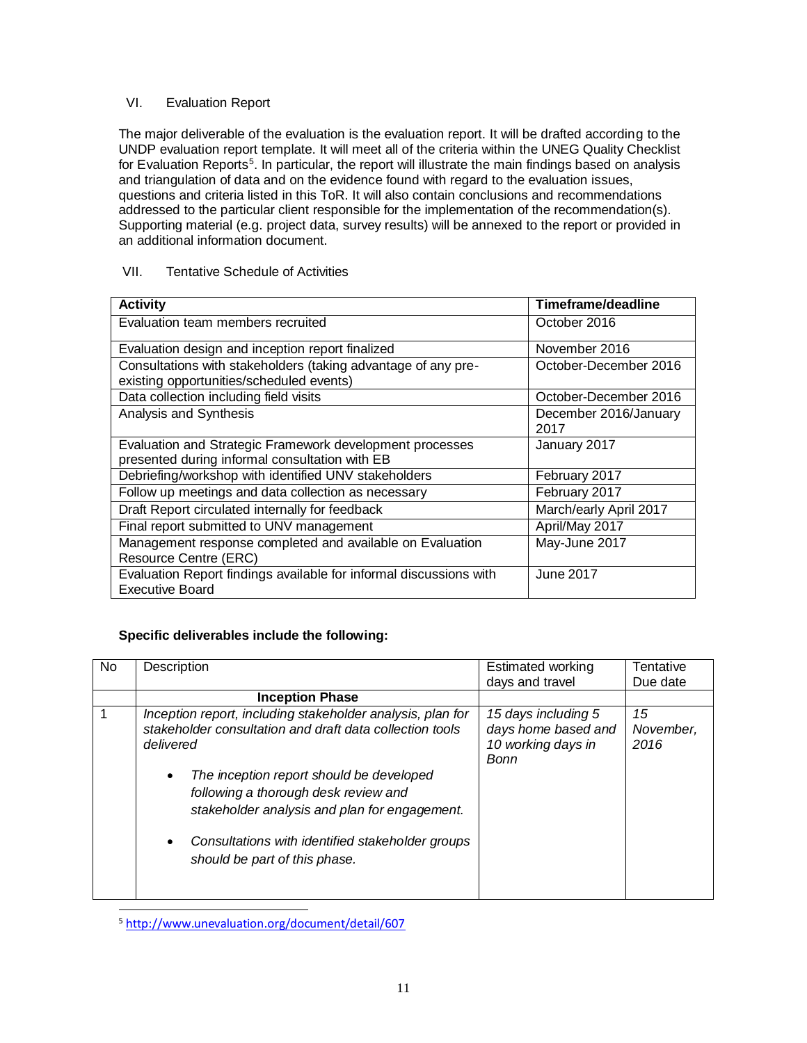# VI. Evaluation Report

The major deliverable of the evaluation is the evaluation report. It will be drafted according to the UNDP evaluation report template. It will meet all of the criteria within the UNEG Quality Checklist for Evaluation Reports<sup>5</sup>. In particular, the report will illustrate the main findings based on analysis and triangulation of data and on the evidence found with regard to the evaluation issues, questions and criteria listed in this ToR. It will also contain conclusions and recommendations addressed to the particular client responsible for the implementation of the recommendation(s). Supporting material (e.g. project data, survey results) will be annexed to the report or provided in an additional information document.

# VII. Tentative Schedule of Activities

| <b>Activity</b>                                                                                            | Timeframe/deadline            |
|------------------------------------------------------------------------------------------------------------|-------------------------------|
| Evaluation team members recruited                                                                          | October 2016                  |
| Evaluation design and inception report finalized                                                           | November 2016                 |
| Consultations with stakeholders (taking advantage of any pre-<br>existing opportunities/scheduled events)  | October-December 2016         |
| Data collection including field visits                                                                     | October-December 2016         |
| Analysis and Synthesis                                                                                     | December 2016/January<br>2017 |
| Evaluation and Strategic Framework development processes<br>presented during informal consultation with EB | January 2017                  |
| Debriefing/workshop with identified UNV stakeholders                                                       | February 2017                 |
| Follow up meetings and data collection as necessary                                                        | February 2017                 |
| Draft Report circulated internally for feedback                                                            | March/early April 2017        |
| Final report submitted to UNV management                                                                   | April/May 2017                |
| Management response completed and available on Evaluation<br><b>Resource Centre (ERC)</b>                  | May-June 2017                 |
| Evaluation Report findings available for informal discussions with<br><b>Executive Board</b>               | June 2017                     |

# **Specific deliverables include the following:**

| No. | Description                                                                                                                                                                                                                         | <b>Estimated working</b><br>days and travel                              | Tentative<br>Due date   |
|-----|-------------------------------------------------------------------------------------------------------------------------------------------------------------------------------------------------------------------------------------|--------------------------------------------------------------------------|-------------------------|
|     | <b>Inception Phase</b>                                                                                                                                                                                                              |                                                                          |                         |
|     | Inception report, including stakeholder analysis, plan for<br>stakeholder consultation and draft data collection tools<br>delivered                                                                                                 | 15 days including 5<br>days home based and<br>10 working days in<br>Bonn | 15<br>November.<br>2016 |
|     | The inception report should be developed<br>$\bullet$<br>following a thorough desk review and<br>stakeholder analysis and plan for engagement.<br>Consultations with identified stakeholder groups<br>should be part of this phase. |                                                                          |                         |

<sup>&</sup>lt;sup>5</sup><http://www.unevaluation.org/document/detail/607>

 $\overline{a}$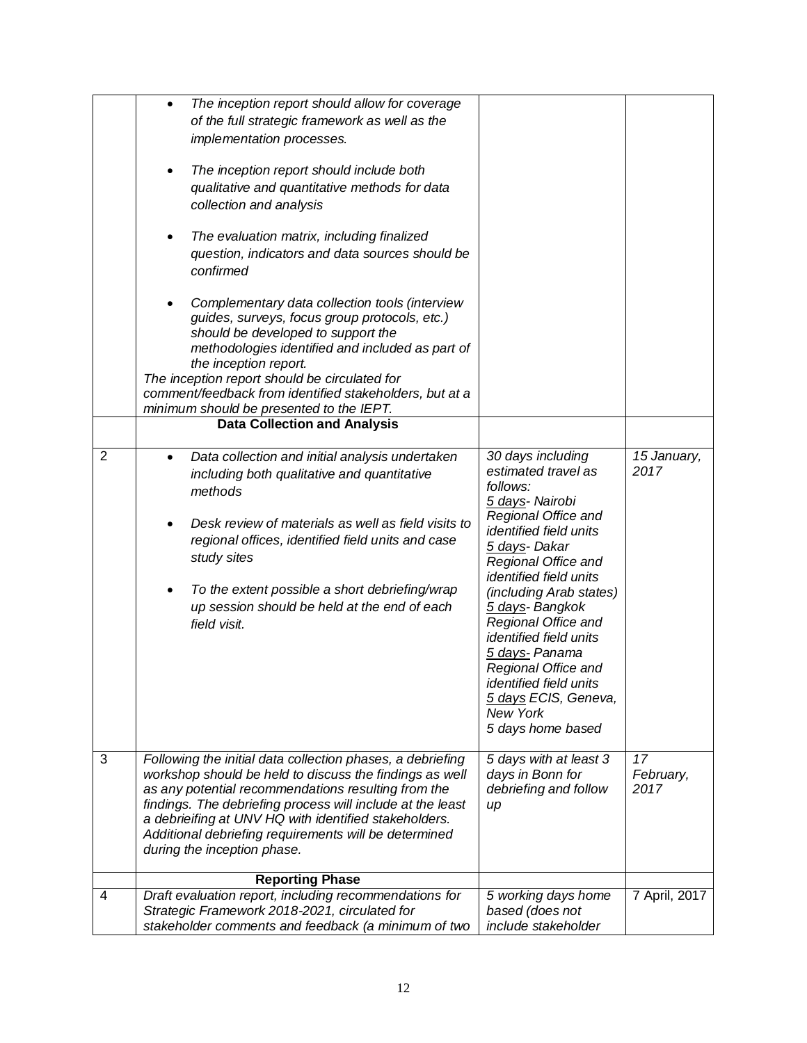|                | The inception report should allow for coverage<br>$\bullet$<br>of the full strategic framework as well as the<br>implementation processes.<br>The inception report should include both<br>qualitative and quantitative methods for data<br>collection and analysis<br>The evaluation matrix, including finalized<br>question, indicators and data sources should be<br>confirmed<br>Complementary data collection tools (interview<br>$\bullet$<br>guides, surveys, focus group protocols, etc.)<br>should be developed to support the<br>methodologies identified and included as part of<br>the inception report.<br>The inception report should be circulated for<br>comment/feedback from identified stakeholders, but at a<br>minimum should be presented to the IEPT.<br><b>Data Collection and Analysis</b> |                                                                                                                                                                                                                                                                                                                                                                                                                                     |                         |
|----------------|--------------------------------------------------------------------------------------------------------------------------------------------------------------------------------------------------------------------------------------------------------------------------------------------------------------------------------------------------------------------------------------------------------------------------------------------------------------------------------------------------------------------------------------------------------------------------------------------------------------------------------------------------------------------------------------------------------------------------------------------------------------------------------------------------------------------|-------------------------------------------------------------------------------------------------------------------------------------------------------------------------------------------------------------------------------------------------------------------------------------------------------------------------------------------------------------------------------------------------------------------------------------|-------------------------|
|                |                                                                                                                                                                                                                                                                                                                                                                                                                                                                                                                                                                                                                                                                                                                                                                                                                    |                                                                                                                                                                                                                                                                                                                                                                                                                                     |                         |
| $\overline{2}$ | Data collection and initial analysis undertaken<br>$\bullet$<br>including both qualitative and quantitative<br>methods<br>Desk review of materials as well as field visits to<br>regional offices, identified field units and case<br>study sites<br>To the extent possible a short debriefing/wrap<br>up session should be held at the end of each<br>field visit.                                                                                                                                                                                                                                                                                                                                                                                                                                                | 30 days including<br>estimated travel as<br>follows:<br>5 days- Nairobi<br>Regional Office and<br>identified field units<br>5 days- Dakar<br>Regional Office and<br><i>identified field units</i><br>(including Arab states)<br>5 days- Bangkok<br>Regional Office and<br><i>identified field units</i><br>5 days- Panama<br>Regional Office and<br>identified field units<br>5 days ECIS, Geneva,<br>New York<br>5 days home based | 15 January,<br>2017     |
| 3              | Following the initial data collection phases, a debriefing<br>workshop should be held to discuss the findings as well<br>as any potential recommendations resulting from the<br>findings. The debriefing process will include at the least<br>a debrieifing at UNV HQ with identified stakeholders.<br>Additional debriefing requirements will be determined<br>during the inception phase.<br><b>Reporting Phase</b>                                                                                                                                                                                                                                                                                                                                                                                              | 5 days with at least 3<br>days in Bonn for<br>debriefing and follow<br>up                                                                                                                                                                                                                                                                                                                                                           | 17<br>February,<br>2017 |
| 4              | Draft evaluation report, including recommendations for                                                                                                                                                                                                                                                                                                                                                                                                                                                                                                                                                                                                                                                                                                                                                             | 5 working days home                                                                                                                                                                                                                                                                                                                                                                                                                 | 7 April, 2017           |
|                | Strategic Framework 2018-2021, circulated for<br>stakeholder comments and feedback (a minimum of two                                                                                                                                                                                                                                                                                                                                                                                                                                                                                                                                                                                                                                                                                                               | based (does not<br>include stakeholder                                                                                                                                                                                                                                                                                                                                                                                              |                         |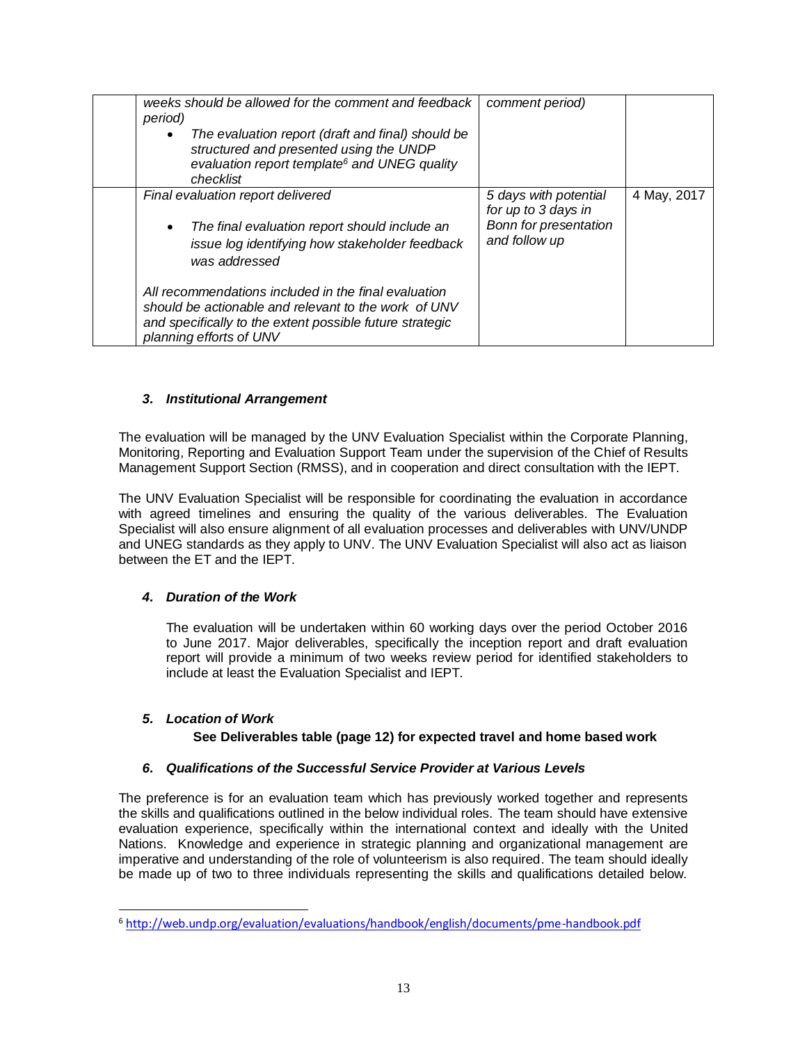| weeks should be allowed for the comment and feedback<br>period)<br>The evaluation report (draft and final) should be<br>$\bullet$<br>structured and presented using the UNDP<br>evaluation report template <sup>6</sup> and UNEG quality<br>checklist | comment period)                                                                        |             |
|-------------------------------------------------------------------------------------------------------------------------------------------------------------------------------------------------------------------------------------------------------|----------------------------------------------------------------------------------------|-------------|
| Final evaluation report delivered<br>The final evaluation report should include an<br>$\bullet$<br>issue log identifying how stakeholder feedback<br>was addressed                                                                                    | 5 days with potential<br>for up to 3 days in<br>Bonn for presentation<br>and follow up | 4 May, 2017 |
| All recommendations included in the final evaluation<br>should be actionable and relevant to the work of UNV<br>and specifically to the extent possible future strategic<br>planning efforts of UNV                                                   |                                                                                        |             |

# *3. Institutional Arrangement*

The evaluation will be managed by the UNV Evaluation Specialist within the Corporate Planning, Monitoring, Reporting and Evaluation Support Team under the supervision of the Chief of Results Management Support Section (RMSS), and in cooperation and direct consultation with the IEPT.

The UNV Evaluation Specialist will be responsible for coordinating the evaluation in accordance with agreed timelines and ensuring the quality of the various deliverables. The Evaluation Specialist will also ensure alignment of all evaluation processes and deliverables with UNV/UNDP and UNEG standards as they apply to UNV. The UNV Evaluation Specialist will also act as liaison between the ET and the IEPT.

# *4. Duration of the Work*

The evaluation will be undertaken within 60 working days over the period October 2016 to June 2017. Major deliverables, specifically the inception report and draft evaluation report will provide a minimum of two weeks review period for identified stakeholders to include at least the Evaluation Specialist and IEPT.

# *5. Location of Work*

 $\overline{a}$ 

# **See Deliverables table (page 12) for expected travel and home based work**

# *6. Qualifications of the Successful Service Provider at Various Levels*

The preference is for an evaluation team which has previously worked together and represents the skills and qualifications outlined in the below individual roles. The team should have extensive evaluation experience, specifically within the international context and ideally with the United Nations. Knowledge and experience in strategic planning and organizational management are imperative and understanding of the role of volunteerism is also required. The team should ideally be made up of two to three individuals representing the skills and qualifications detailed below.

<sup>6</sup> <http://web.undp.org/evaluation/evaluations/handbook/english/documents/pme-handbook.pdf>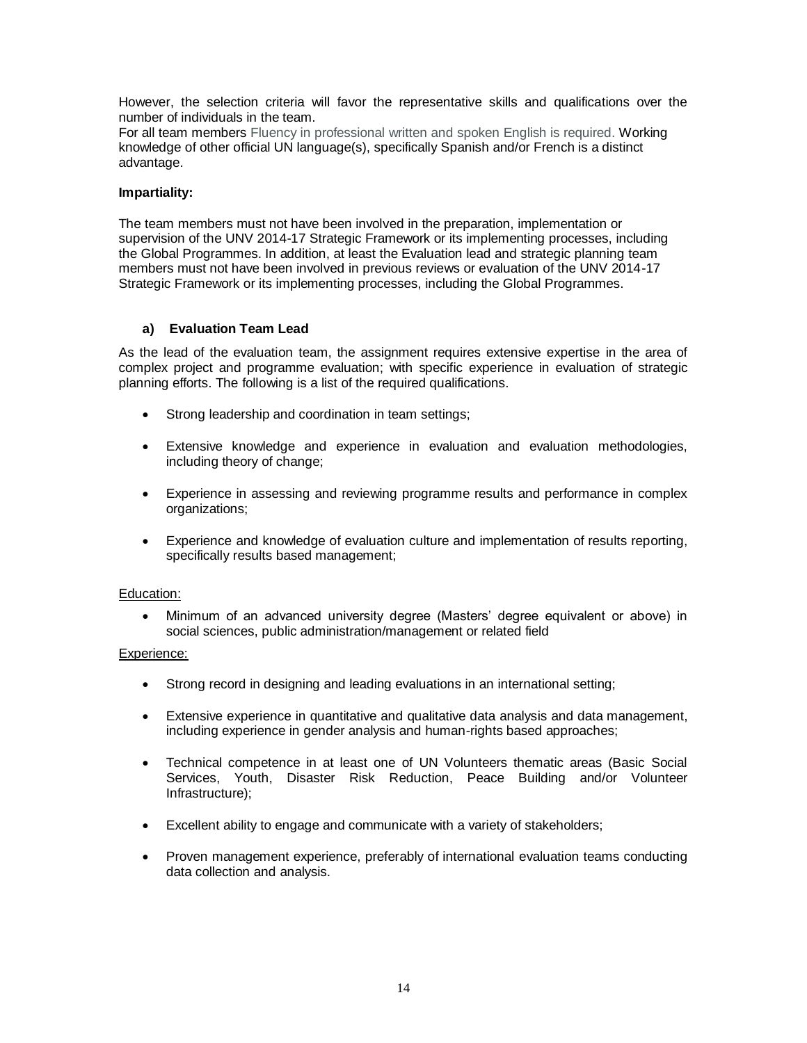However, the selection criteria will favor the representative skills and qualifications over the number of individuals in the team.

For all team members Fluency in professional written and spoken English is required. Working knowledge of other official UN language(s), specifically Spanish and/or French is a distinct advantage.

### **Impartiality:**

The team members must not have been involved in the preparation, implementation or supervision of the UNV 2014-17 Strategic Framework or its implementing processes, including the Global Programmes. In addition, at least the Evaluation lead and strategic planning team members must not have been involved in previous reviews or evaluation of the UNV 2014-17 Strategic Framework or its implementing processes, including the Global Programmes.

### **a) Evaluation Team Lead**

As the lead of the evaluation team, the assignment requires extensive expertise in the area of complex project and programme evaluation; with specific experience in evaluation of strategic planning efforts. The following is a list of the required qualifications.

- Strong leadership and coordination in team settings;
- Extensive knowledge and experience in evaluation and evaluation methodologies, including theory of change;
- Experience in assessing and reviewing programme results and performance in complex organizations;
- Experience and knowledge of evaluation culture and implementation of results reporting, specifically results based management;

#### Education:

 Minimum of an advanced university degree (Masters' degree equivalent or above) in social sciences, public administration/management or related field

#### Experience:

- Strong record in designing and leading evaluations in an international setting;
- Extensive experience in quantitative and qualitative data analysis and data management, including experience in gender analysis and human-rights based approaches;
- Technical competence in at least one of UN Volunteers thematic areas (Basic Social Services, Youth, Disaster Risk Reduction, Peace Building and/or Volunteer Infrastructure);
- Excellent ability to engage and communicate with a variety of stakeholders;
- Proven management experience, preferably of international evaluation teams conducting data collection and analysis.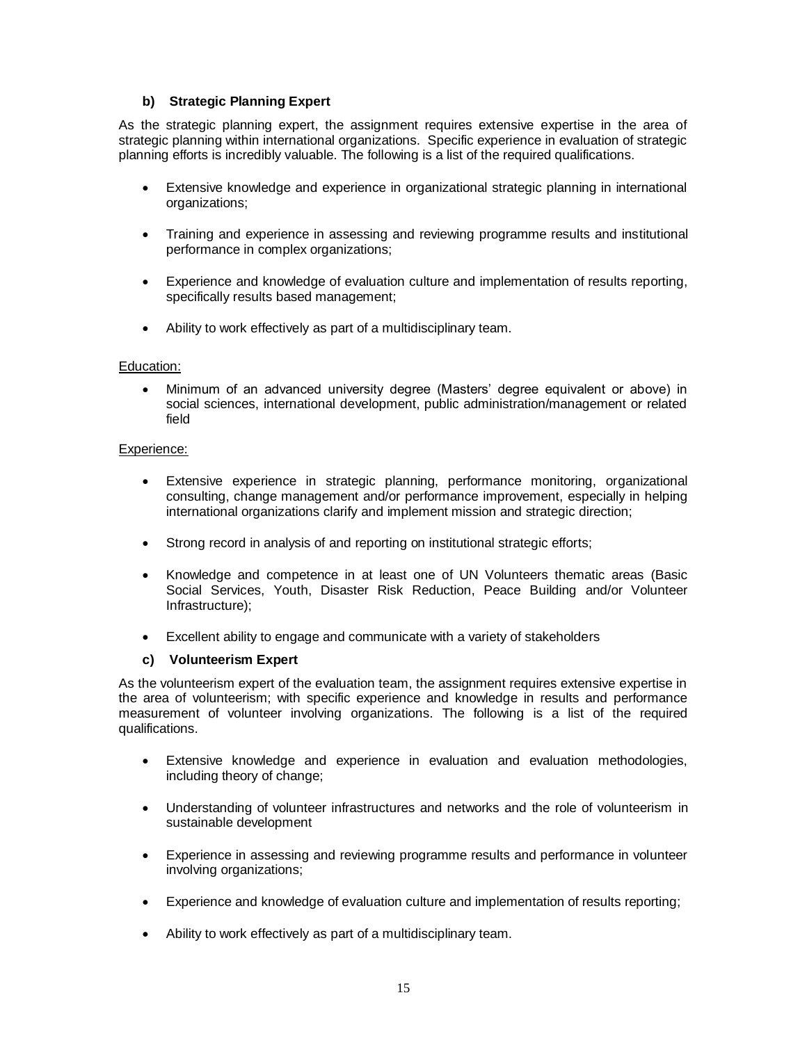# **b) Strategic Planning Expert**

As the strategic planning expert, the assignment requires extensive expertise in the area of strategic planning within international organizations. Specific experience in evaluation of strategic planning efforts is incredibly valuable. The following is a list of the required qualifications.

- Extensive knowledge and experience in organizational strategic planning in international organizations;
- Training and experience in assessing and reviewing programme results and institutional performance in complex organizations;
- Experience and knowledge of evaluation culture and implementation of results reporting, specifically results based management;
- Ability to work effectively as part of a multidisciplinary team.

#### Education:

 Minimum of an advanced university degree (Masters' degree equivalent or above) in social sciences, international development, public administration/management or related field

#### Experience:

- Extensive experience in strategic planning, performance monitoring, organizational consulting, change management and/or performance improvement, especially in helping international organizations clarify and implement mission and strategic direction;
- Strong record in analysis of and reporting on institutional strategic efforts;
- Knowledge and competence in at least one of UN Volunteers thematic areas (Basic Social Services, Youth, Disaster Risk Reduction, Peace Building and/or Volunteer Infrastructure);
- Excellent ability to engage and communicate with a variety of stakeholders

#### **c) Volunteerism Expert**

As the volunteerism expert of the evaluation team, the assignment requires extensive expertise in the area of volunteerism; with specific experience and knowledge in results and performance measurement of volunteer involving organizations. The following is a list of the required qualifications.

- Extensive knowledge and experience in evaluation and evaluation methodologies, including theory of change;
- Understanding of volunteer infrastructures and networks and the role of volunteerism in sustainable development
- Experience in assessing and reviewing programme results and performance in volunteer involving organizations;
- Experience and knowledge of evaluation culture and implementation of results reporting;
- Ability to work effectively as part of a multidisciplinary team.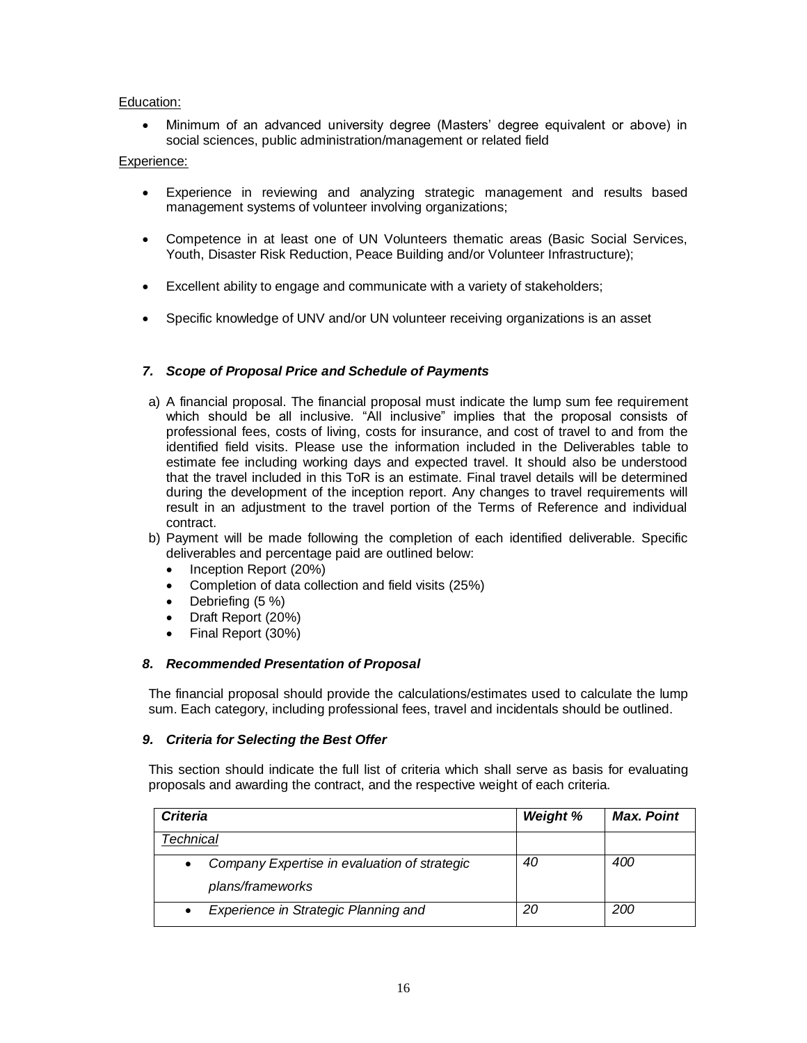### Education:

 Minimum of an advanced university degree (Masters' degree equivalent or above) in social sciences, public administration/management or related field

## Experience:

- Experience in reviewing and analyzing strategic management and results based management systems of volunteer involving organizations;
- Competence in at least one of UN Volunteers thematic areas (Basic Social Services, Youth, Disaster Risk Reduction, Peace Building and/or Volunteer Infrastructure);
- Excellent ability to engage and communicate with a variety of stakeholders;
- Specific knowledge of UNV and/or UN volunteer receiving organizations is an asset

### *7. Scope of Proposal Price and Schedule of Payments*

- a) A financial proposal. The financial proposal must indicate the lump sum fee requirement which should be all inclusive. "All inclusive" implies that the proposal consists of professional fees, costs of living, costs for insurance, and cost of travel to and from the identified field visits. Please use the information included in the Deliverables table to estimate fee including working days and expected travel. It should also be understood that the travel included in this ToR is an estimate. Final travel details will be determined during the development of the inception report. Any changes to travel requirements will result in an adjustment to the travel portion of the Terms of Reference and individual contract.
- b) Payment will be made following the completion of each identified deliverable. Specific deliverables and percentage paid are outlined below:
	- Inception Report (20%)
	- Completion of data collection and field visits (25%)
	- Debriefing (5 %)
	- Draft Report (20%)
	- Final Report (30%)

#### *8. Recommended Presentation of Proposal*

The financial proposal should provide the calculations/estimates used to calculate the lump sum. Each category, including professional fees, travel and incidentals should be outlined.

#### *9. Criteria for Selecting the Best Offer*

This section should indicate the full list of criteria which shall serve as basis for evaluating proposals and awarding the contract, and the respective weight of each criteria.

| <b>Criteria</b>                                                  | <b>Weight %</b> | <b>Max. Point</b> |
|------------------------------------------------------------------|-----------------|-------------------|
| <sup>r</sup> echnical                                            |                 |                   |
| Company Expertise in evaluation of strategic<br>plans/frameworks | 40              | 400               |
| Experience in Strategic Planning and<br>$\bullet$                | 20              | 200               |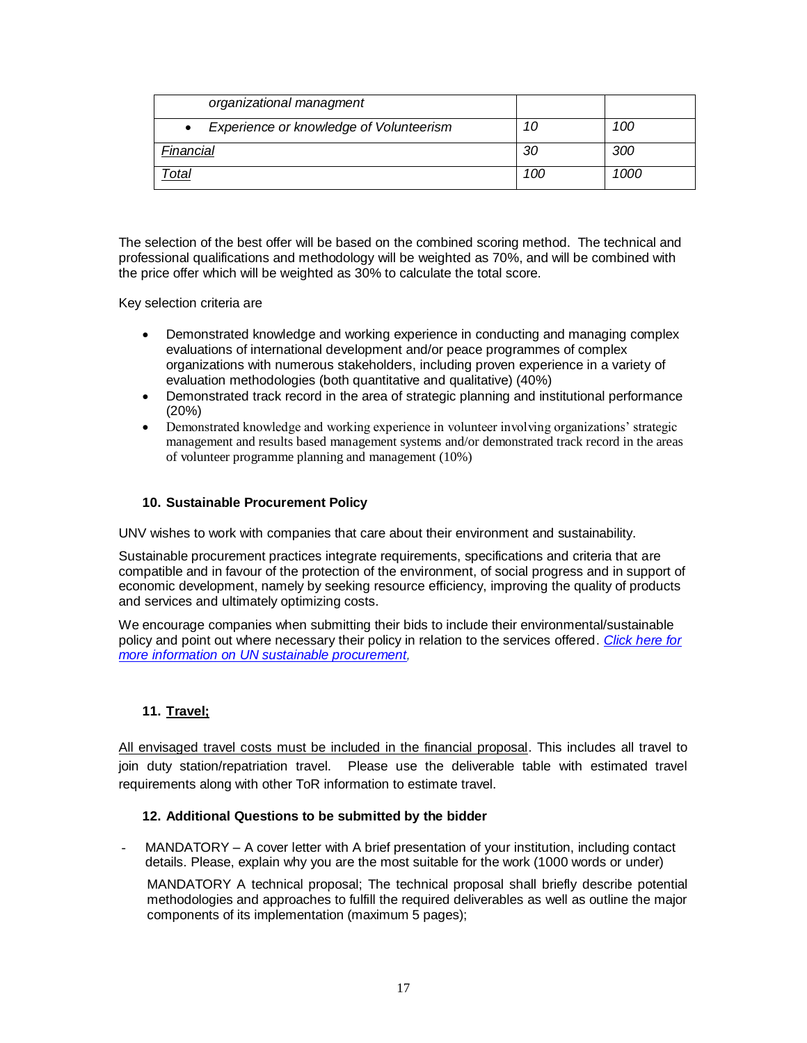| organizational managment                |     |      |
|-----------------------------------------|-----|------|
| Experience or knowledge of Volunteerism | 10  | 100  |
| Financial                               | 30  | 300  |
| )tal                                    | 100 | 1000 |

The selection of the best offer will be based on the combined scoring method. The technical and professional qualifications and methodology will be weighted as 70%, and will be combined with the price offer which will be weighted as 30% to calculate the total score.

Key selection criteria are

- Demonstrated knowledge and working experience in conducting and managing complex evaluations of international development and/or peace programmes of complex organizations with numerous stakeholders, including proven experience in a variety of evaluation methodologies (both quantitative and qualitative) (40%)
- Demonstrated track record in the area of strategic planning and institutional performance (20%)
- Demonstrated knowledge and working experience in volunteer involving organizations' strategic management and results based management systems and/or demonstrated track record in the areas of volunteer programme planning and management (10%)

# **10. Sustainable Procurement Policy**

UNV wishes to work with companies that care about their environment and sustainability.

Sustainable procurement practices integrate requirements, specifications and criteria that are compatible and in favour of the protection of the environment, of social progress and in support of economic development, namely by seeking resource efficiency, improving the quality of products and services and ultimately optimizing costs.

We encourage companies when submitting their bids to include their environmental/sustainable policy and point out where necessary their policy in relation to the services offered. *[Click here for](http://www.ungm.org/SustainableProcurement/Default.aspx)  [more information on UN sustainable procurement,](http://www.ungm.org/SustainableProcurement/Default.aspx)* 

# **11. Travel;**

All envisaged travel costs must be included in the financial proposal. This includes all travel to join duty station/repatriation travel. Please use the deliverable table with estimated travel requirements along with other ToR information to estimate travel.

# **12. Additional Questions to be submitted by the bidder**

MANDATORY – A cover letter with A brief presentation of your institution, including contact details. Please, explain why you are the most suitable for the work (1000 words or under)

MANDATORY A technical proposal; The technical proposal shall briefly describe potential methodologies and approaches to fulfill the required deliverables as well as outline the major components of its implementation (maximum 5 pages);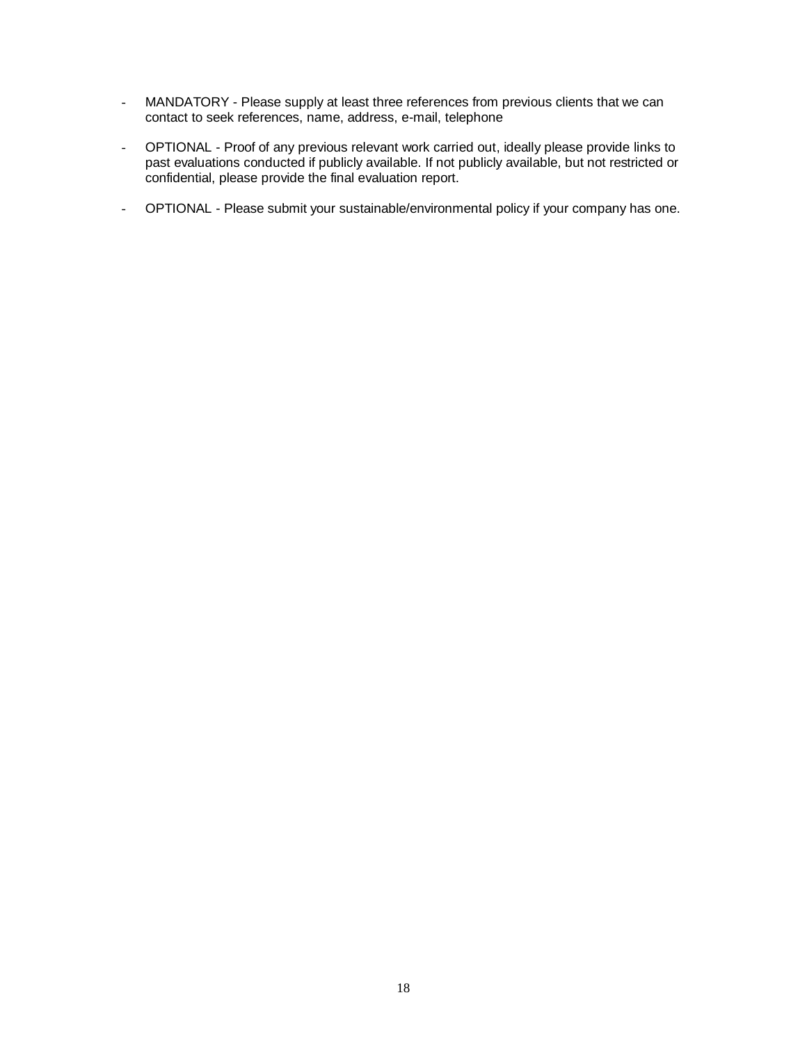- MANDATORY Please supply at least three references from previous clients that we can contact to seek references, name, address, e-mail, telephone
- OPTIONAL Proof of any previous relevant work carried out, ideally please provide links to past evaluations conducted if publicly available. If not publicly available, but not restricted or confidential, please provide the final evaluation report.
- OPTIONAL Please submit your sustainable/environmental policy if your company has one.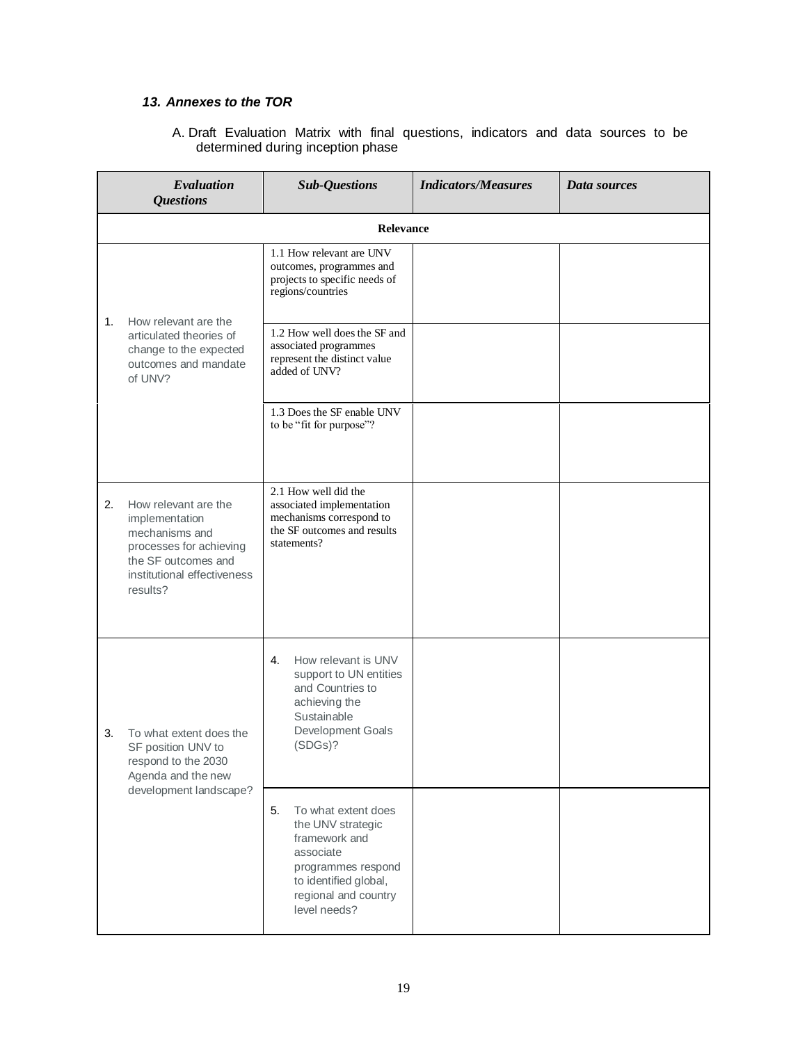# *13. Annexes to the TOR*

A. Draft Evaluation Matrix with final questions, indicators and data sources to be determined during inception phase

|    | Evaluation<br><b>Questions</b>                                                                                                                        | <b>Sub-Questions</b>                                                                                                                                                | <b>Indicators/Measures</b> | Data sources |  |  |
|----|-------------------------------------------------------------------------------------------------------------------------------------------------------|---------------------------------------------------------------------------------------------------------------------------------------------------------------------|----------------------------|--------------|--|--|
|    | Relevance                                                                                                                                             |                                                                                                                                                                     |                            |              |  |  |
|    |                                                                                                                                                       | 1.1 How relevant are UNV<br>outcomes, programmes and<br>projects to specific needs of<br>regions/countries                                                          |                            |              |  |  |
| 1. | How relevant are the<br>articulated theories of<br>change to the expected<br>outcomes and mandate<br>of UNV?                                          | 1.2 How well does the SF and<br>associated programmes<br>represent the distinct value<br>added of UNV?                                                              |                            |              |  |  |
|    |                                                                                                                                                       | 1.3 Does the SF enable UNV<br>to be "fit for purpose"?                                                                                                              |                            |              |  |  |
| 2. | How relevant are the<br>implementation<br>mechanisms and<br>processes for achieving<br>the SF outcomes and<br>institutional effectiveness<br>results? | 2.1 How well did the<br>associated implementation<br>mechanisms correspond to<br>the SF outcomes and results<br>statements?                                         |                            |              |  |  |
| 3. | To what extent does the<br>SF position UNV to<br>respond to the 2030<br>Agenda and the new                                                            | How relevant is UNV<br>4.<br>support to UN entities<br>and Countries to<br>achieving the<br>Sustainable<br>Development Goals<br>(SDGs)?                             |                            |              |  |  |
|    | development landscape?                                                                                                                                | 5.<br>To what extent does<br>the UNV strategic<br>framework and<br>associate<br>programmes respond<br>to identified global,<br>regional and country<br>level needs? |                            |              |  |  |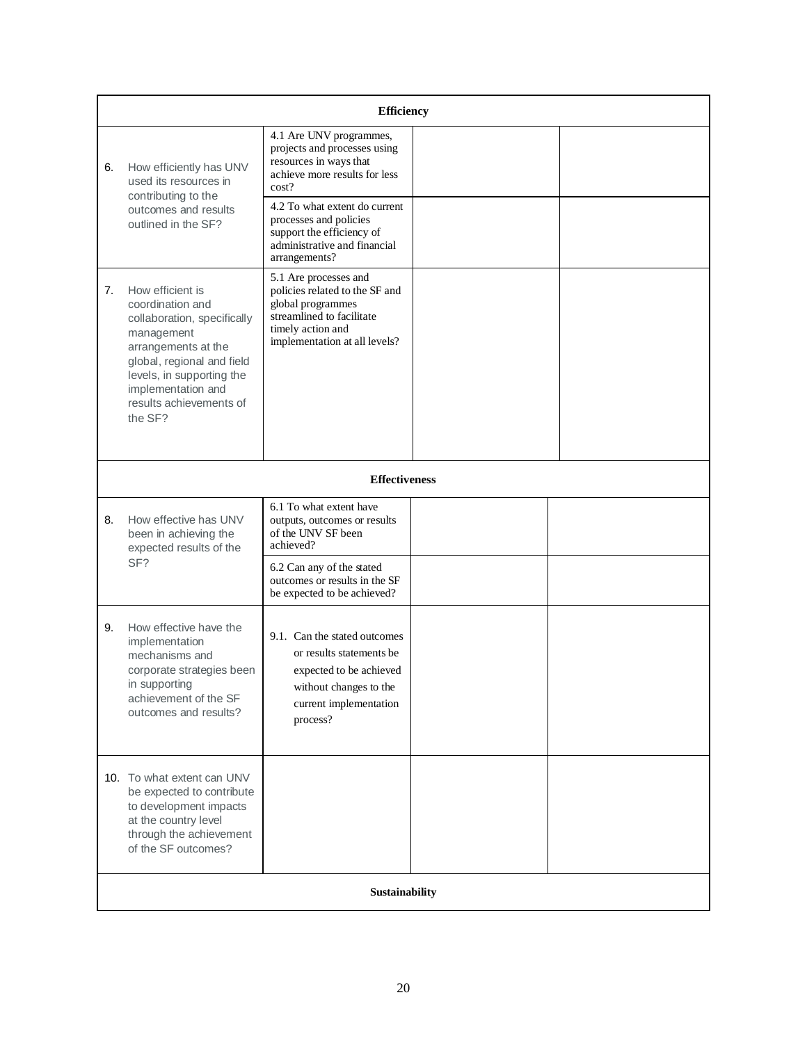|    | <b>Efficiency</b>                                                                                                                                                                                                               |                                                                                                                                                                 |  |  |  |
|----|---------------------------------------------------------------------------------------------------------------------------------------------------------------------------------------------------------------------------------|-----------------------------------------------------------------------------------------------------------------------------------------------------------------|--|--|--|
| 6. | How efficiently has UNV<br>used its resources in<br>contributing to the<br>outcomes and results                                                                                                                                 | 4.1 Are UNV programmes,<br>projects and processes using<br>resources in ways that<br>achieve more results for less<br>cost?<br>4.2 To what extent do current    |  |  |  |
|    | outlined in the SF?                                                                                                                                                                                                             | processes and policies<br>support the efficiency of<br>administrative and financial<br>arrangements?                                                            |  |  |  |
| 7. | How efficient is<br>coordination and<br>collaboration, specifically<br>management<br>arrangements at the<br>global, regional and field<br>levels, in supporting the<br>implementation and<br>results achievements of<br>the SF? | 5.1 Are processes and<br>policies related to the SF and<br>global programmes<br>streamlined to facilitate<br>timely action and<br>implementation at all levels? |  |  |  |
|    |                                                                                                                                                                                                                                 | <b>Effectiveness</b>                                                                                                                                            |  |  |  |
| 8. | How effective has UNV<br>been in achieving the<br>expected results of the                                                                                                                                                       | 6.1 To what extent have<br>outputs, outcomes or results<br>of the UNV SF been<br>achieved?                                                                      |  |  |  |
|    | SF?                                                                                                                                                                                                                             | 6.2 Can any of the stated<br>outcomes or results in the SF<br>be expected to be achieved?                                                                       |  |  |  |
| 9. | How effective have the<br>implementation<br>mechanisms and<br>corporate strategies been<br>in supporting<br>achievement of the SF<br>outcomes and results?                                                                      | 9.1. Can the stated outcomes<br>or results statements be<br>expected to be achieved<br>without changes to the<br>current implementation<br>process?             |  |  |  |
|    | 10. To what extent can UNV<br>be expected to contribute<br>to development impacts<br>at the country level<br>through the achievement<br>of the SF outcomes?                                                                     |                                                                                                                                                                 |  |  |  |
|    | Sustainability                                                                                                                                                                                                                  |                                                                                                                                                                 |  |  |  |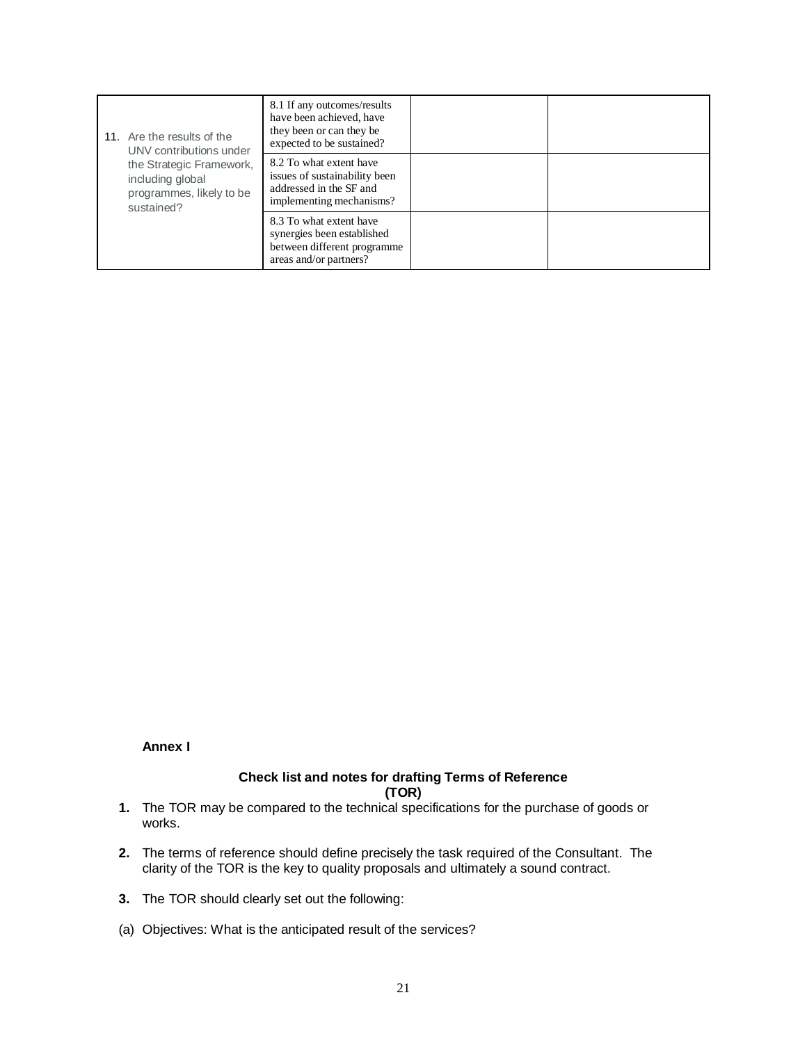| 11. Are the results of the<br>UNV contributions under                                  | 8.1 If any outcomes/results<br>have been achieved, have<br>they been or can they be<br>expected to be sustained? |  |
|----------------------------------------------------------------------------------------|------------------------------------------------------------------------------------------------------------------|--|
| the Strategic Framework,<br>including global<br>programmes, likely to be<br>sustained? | 8.2 To what extent have<br>issues of sustainability been<br>addressed in the SF and<br>implementing mechanisms?  |  |
|                                                                                        | 8.3 To what extent have<br>synergies been established<br>between different programme<br>areas and/or partners?   |  |

# **Annex I**

# **Check list and notes for drafting Terms of Reference**

**(TOR)**

- **1.** The TOR may be compared to the technical specifications for the purchase of goods or works.
- **2.** The terms of reference should define precisely the task required of the Consultant. The clarity of the TOR is the key to quality proposals and ultimately a sound contract.
- **3.** The TOR should clearly set out the following:
- (a) Objectives: What is the anticipated result of the services?